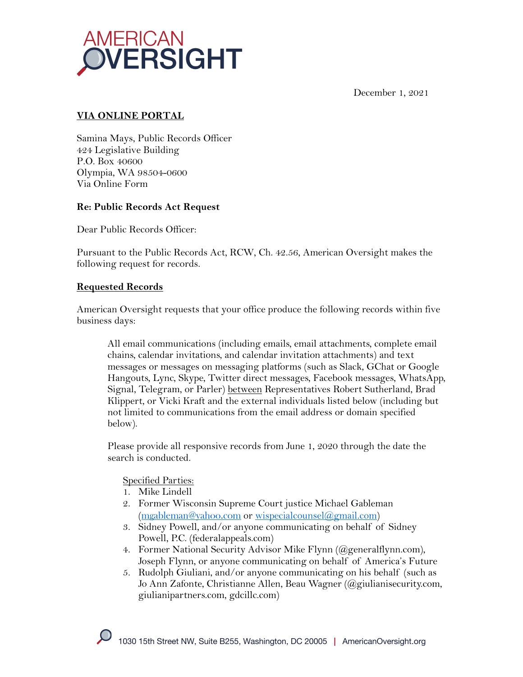

December 1, 2021

## **VIA ONLINE PORTAL**

Samina Mays, Public Records Officer 424 Legislative Building P.O. Box 40600 Olympia, WA 98504-0600 Via Online Form

## **Re: Public Records Act Request**

Dear Public Records Officer:

Pursuant to the Public Records Act, RCW, Ch. 42.56, American Oversight makes the following request for records.

### **Requested Records**

American Oversight requests that your office produce the following records within five business days:

All email communications (including emails, email attachments, complete email chains, calendar invitations, and calendar invitation attachments) and text messages or messages on messaging platforms (such as Slack, GChat or Google Hangouts, Lync, Skype, Twitter direct messages, Facebook messages, WhatsApp, Signal, Telegram, or Parler) between Representatives Robert Sutherland, Brad Klippert, or Vicki Kraft and the external individuals listed below (including but not limited to communications from the email address or domain specified below).

Please provide all responsive records from June 1, 2020 through the date the search is conducted.

#### Specified Parties:

- 1. Mike Lindell
- 2. Former Wisconsin Supreme Court justice Michael Gableman (mgableman@yahoo.com or wispecialcounsel@gmail.com)
- 3. Sidney Powell, and/or anyone communicating on behalf of Sidney Powell, P.C. (federalappeals.com)
- 4. Former National Security Advisor Mike Flynn (@generalflynn.com), Joseph Flynn, or anyone communicating on behalf of America's Future
- 5. Rudolph Giuliani, and/or anyone communicating on his behalf (such as Jo Ann Zafonte, Christianne Allen, Beau Wagner (@giulianisecurity.com, giulianipartners.com, gdcillc.com)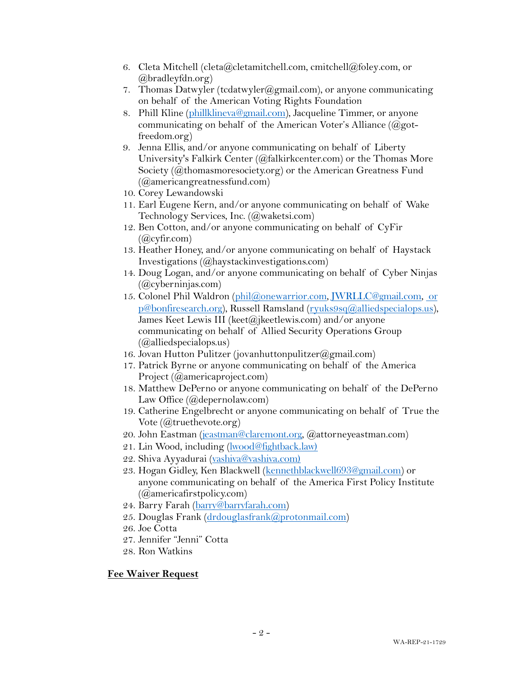- 6. Cleta Mitchell (cleta@cletamitchell.com, cmitchell@foley.com, or @bradleyfdn.org)
- 7. Thomas Datwyler (tcdatwyler  $(\partial_{\mathcal{L}}g$  mail.com), or anyone communicating on behalf of the American Voting Rights Foundation
- 8. Phill Kline (phillklineva@gmail.com), Jacqueline Timmer, or anyone communicating on behalf of the American Voter's Alliance  $(Qgot$ freedom.org)
- 9. Jenna Ellis, and/or anyone communicating on behalf of Liberty University's Falkirk Center (@falkirkcenter.com) or the Thomas More Society (@thomasmoresociety.org) or the American Greatness Fund (@americangreatnessfund.com)
- 10. Corey Lewandowski
- 11. Earl Eugene Kern, and/or anyone communicating on behalf of Wake Technology Services, Inc. (@waketsi.com)
- 12. Ben Cotton, and/or anyone communicating on behalf of CyFir  $(Qcylir.com)$
- 13. Heather Honey, and/or anyone communicating on behalf of Haystack Investigations (@haystackinvestigations.com)
- 14. Doug Logan, and/or anyone communicating on behalf of Cyber Ninjas (@cyberninjas.com)
- 15. Colonel Phil Waldron (phil@onewarrior.com, JWRLLC@gmail.com, or p@bonfiresearch.org), Russell Ramsland (ryuks9sq@alliedspecialops.us), James Keet Lewis III (keet@jkeetlewis.com) and/or anyone communicating on behalf of Allied Security Operations Group (@alliedspecialops.us)
- 16. Jovan Hutton Pulitzer (jovanhuttonpulitzer@gmail.com)
- 17. Patrick Byrne or anyone communicating on behalf of the America Project (@americaproject.com)
- 18. Matthew DePerno or anyone communicating on behalf of the DePerno Law Office (@depernolaw.com)
- 19. Catherine Engelbrecht or anyone communicating on behalf of True the Vote (@truethevote.org)
- 20. John Eastman (jeastman@claremont.org, @attorneyeastman.com)
- 21. Lin Wood, including (lwood@fightback.law)
- 22. Shiva Ayyadurai (vashiva@vashiva.com)
- 23. Hogan Gidley, Ken Blackwell (kennethblackwell693@gmail.com) or anyone communicating on behalf of the America First Policy Institute (@americafirstpolicy.com)
- 24. Barry Farah (barry@barryfarah.com)
- 25. Douglas Frank (drdouglasfrank@protonmail.com)
- 26. Joe Cotta
- 27. Jennifer "Jenni" Cotta
- 28. Ron Watkins

#### **Fee Waiver Request**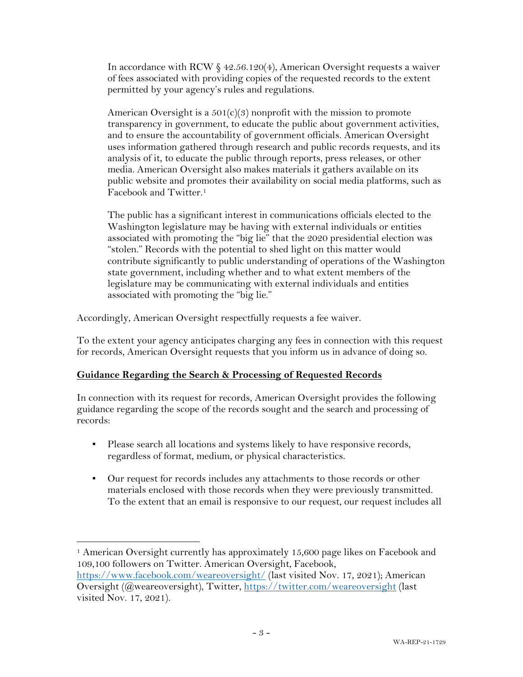In accordance with RCW § 42.56.120(4), American Oversight requests a waiver of fees associated with providing copies of the requested records to the extent permitted by your agency's rules and regulations.

American Oversight is a  $501(c)(3)$  nonprofit with the mission to promote transparency in government, to educate the public about government activities, and to ensure the accountability of government officials. American Oversight uses information gathered through research and public records requests, and its analysis of it, to educate the public through reports, press releases, or other media. American Oversight also makes materials it gathers available on its public website and promotes their availability on social media platforms, such as Facebook and Twitter.1

The public has a significant interest in communications officials elected to the Washington legislature may be having with external individuals or entities associated with promoting the "big lie" that the 2020 presidential election was "stolen." Records with the potential to shed light on this matter would contribute significantly to public understanding of operations of the Washington state government, including whether and to what extent members of the legislature may be communicating with external individuals and entities associated with promoting the "big lie."

Accordingly, American Oversight respectfully requests a fee waiver.

To the extent your agency anticipates charging any fees in connection with this request for records, American Oversight requests that you inform us in advance of doing so.

## **Guidance Regarding the Search & Processing of Requested Records**

In connection with its request for records, American Oversight provides the following guidance regarding the scope of the records sought and the search and processing of records:

- Please search all locations and systems likely to have responsive records, regardless of format, medium, or physical characteristics.
- Our request for records includes any attachments to those records or other materials enclosed with those records when they were previously transmitted. To the extent that an email is responsive to our request, our request includes all

<sup>&</sup>lt;sup>1</sup> American Oversight currently has approximately 15,600 page likes on Facebook and 109,100 followers on Twitter. American Oversight, Facebook,

https://www.facebook.com/weareoversight/ (last visited Nov. 17, 2021); American Oversight (@weareoversight), Twitter, https://twitter.com/weareoversight (last visited Nov. 17, 2021).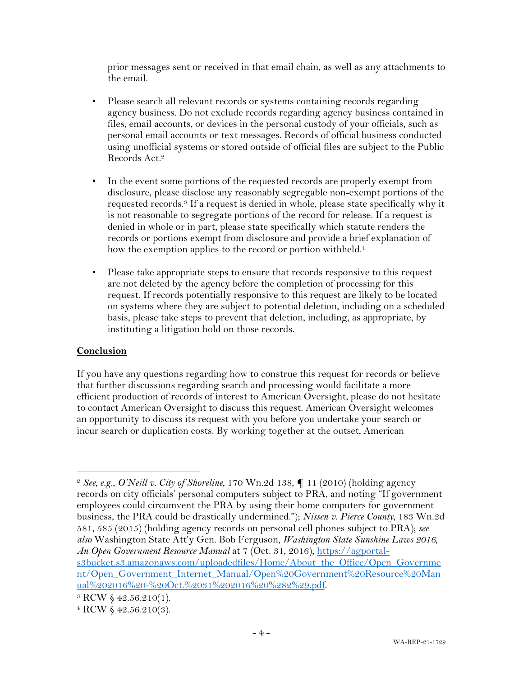prior messages sent or received in that email chain, as well as any attachments to the email.

- **•** Please search all relevant records or systems containing records regarding agency business. Do not exclude records regarding agency business contained in files, email accounts, or devices in the personal custody of your officials, such as personal email accounts or text messages. Records of official business conducted using unofficial systems or stored outside of official files are subject to the Public Records Act.2
- In the event some portions of the requested records are properly exempt from disclosure, please disclose any reasonably segregable non-exempt portions of the requested records.3 If a request is denied in whole, please state specifically why it is not reasonable to segregate portions of the record for release. If a request is denied in whole or in part, please state specifically which statute renders the records or portions exempt from disclosure and provide a brief explanation of how the exemption applies to the record or portion withheld.<sup>4</sup>
- Please take appropriate steps to ensure that records responsive to this request are not deleted by the agency before the completion of processing for this request. If records potentially responsive to this request are likely to be located on systems where they are subject to potential deletion, including on a scheduled basis, please take steps to prevent that deletion, including, as appropriate, by instituting a litigation hold on those records.

# **Conclusion**

If you have any questions regarding how to construe this request for records or believe that further discussions regarding search and processing would facilitate a more efficient production of records of interest to American Oversight, please do not hesitate to contact American Oversight to discuss this request. American Oversight welcomes an opportunity to discuss its request with you before you undertake your search or incur search or duplication costs. By working together at the outset, American

<sup>2</sup> *See, e.g.*, *O'Neill v. City of Shoreline*, 170 Wn.2d 138, ¶ 11 (2010) (holding agency records on city officials' personal computers subject to PRA, and noting "If government employees could circumvent the PRA by using their home computers for government business, the PRA could be drastically undermined."); *Nissen v. Pierce County*, 183 Wn.2d 581, 585 (2015) (holding agency records on personal cell phones subject to PRA); *see also* Washington State Att'y Gen. Bob Ferguson, *Washington State Sunshine Laws 2016, An Open Government Resource Manual* at 7 (Oct. 31, 2016), https://agportals3bucket.s3.amazonaws.com/uploadedfiles/Home/About\_the\_Office/Open\_Governme nt/Open\_Government\_Internet\_Manual/Open%20Government%20Resource%20Man ual%202016%20-%20Oct.%2031%202016%20%282%29.pdf.

<sup>3</sup> RCW § 42.56.210(1).

<sup>4</sup> RCW § 42.56.210(3).